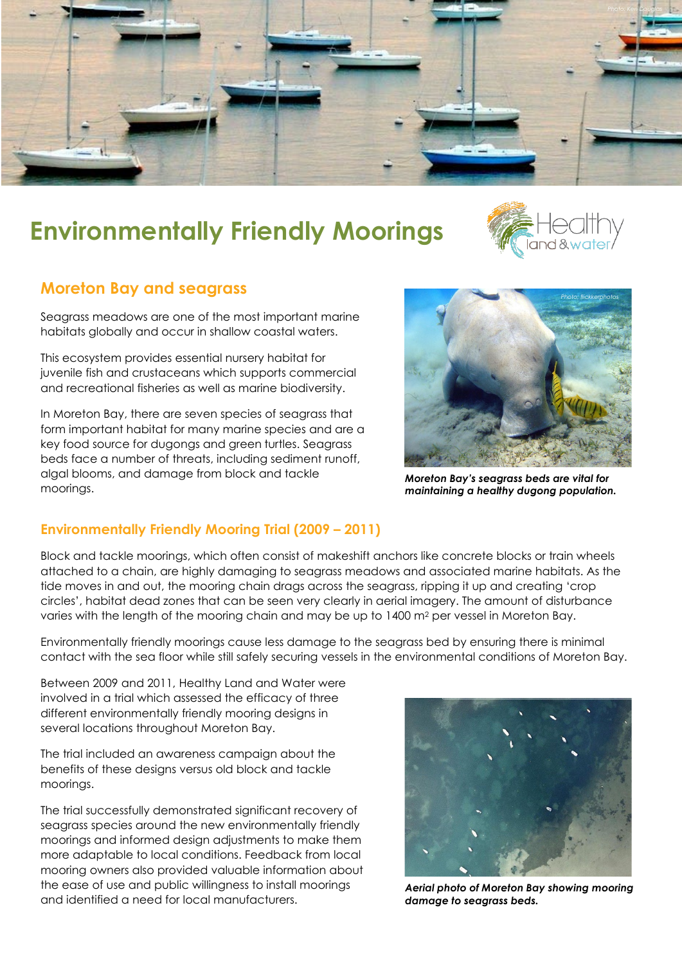

# **Environmentally Friendly Moorings**



## **Moreton Bay and seagrass**

Seagrass meadows are one of the most important marine habitats globally and occur in shallow coastal waters.

This ecosystem provides essential nursery habitat for juvenile fish and crustaceans which supports commercial and recreational fisheries as well as marine biodiversity.

In Moreton Bay, there are seven species of seagrass that form important habitat for many marine species and are a key food source for dugongs and green turtles. Seagrass beds face a number of threats, including sediment runoff, algal blooms, and damage from block and tackle moorings.



*Moreton Bay's seagrass beds are vital for maintaining a healthy dugong population.*

#### **Environmentally Friendly Mooring Trial (2009 – 2011)**

Block and tackle moorings, which often consist of makeshift anchors like concrete blocks or train wheels attached to a chain, are highly damaging to seagrass meadows and associated marine habitats. As the tide moves in and out, the mooring chain drags across the seagrass, ripping it up and creating 'crop circles', habitat dead zones that can be seen very clearly in aerial imagery. The amount of disturbance varies with the length of the mooring chain and may be up to 1400 m<sup>2</sup> per vessel in Moreton Bay.

Environmentally friendly moorings cause less damage to the seagrass bed by ensuring there is minimal contact with the sea floor while still safely securing vessels in the environmental conditions of Moreton Bay.

Between 2009 and 2011, Healthy Land and Water were involved in a trial which assessed the efficacy of three different environmentally friendly mooring designs in several locations throughout Moreton Bay.

The trial included an awareness campaign about the benefits of these designs versus old block and tackle moorings.

The trial successfully demonstrated significant recovery of seagrass species around the new environmentally friendly moorings and informed design adjustments to make them more adaptable to local conditions. Feedback from local mooring owners also provided valuable information about the ease of use and public willingness to install moorings and identified a need for local manufacturers.



*Aerial photo of Moreton Bay showing mooring damage to seagrass beds.*